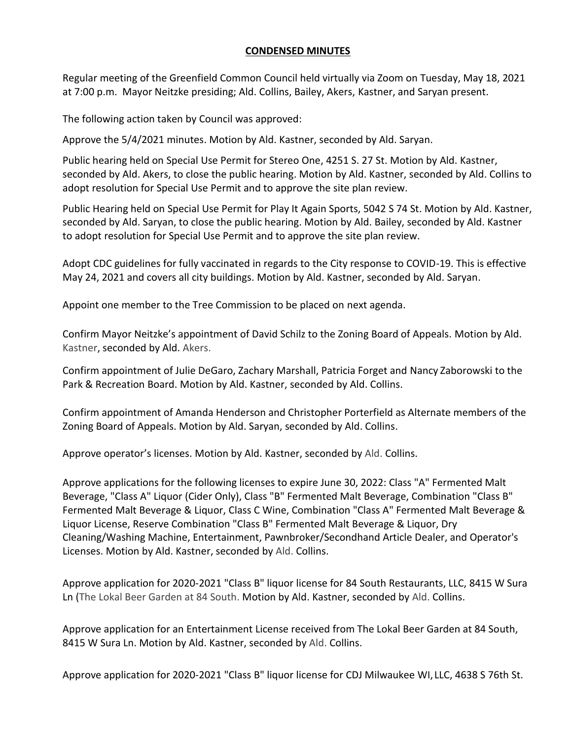## **CONDENSED MINUTES**

Regular meeting of the Greenfield Common Council held virtually via Zoom on Tuesday, May 18, 2021 at 7:00 p.m. Mayor Neitzke presiding; Ald. Collins, Bailey, Akers, Kastner, and Saryan present.

The following action taken by Council was approved:

Approve the 5/4/2021 minutes. Motion by Ald. Kastner, seconded by Ald. Saryan.

Public hearing held on Special Use Permit for Stereo One, 4251 S. 27 St. Motion by Ald. Kastner, seconded by Ald. Akers, to close the public hearing. Motion by Ald. Kastner, seconded by Ald. Collins to adopt resolution for Special Use Permit and to approve the site plan review.

Public Hearing held on Special Use Permit for Play It Again Sports, 5042 S 74 St. Motion by Ald. Kastner, seconded by Ald. Saryan, to close the public hearing. Motion by Ald. Bailey, seconded by Ald. Kastner to adopt resolution for Special Use Permit and to approve the site plan review.

Adopt CDC guidelines for fully vaccinated in regards to the City response to COVID-19. This is effective May 24, 2021 and covers all city buildings. Motion by Ald. Kastner, seconded by Ald. Saryan.

Appoint one member to the Tree Commission to be placed on next agenda.

Confirm Mayor Neitzke's appointment of David Schilz to the Zoning Board of Appeals. Motion by Ald. Kastner, seconded by Ald. Akers.

Confirm appointment of Julie DeGaro, Zachary Marshall, Patricia Forget and Nancy Zaborowski to the Park & Recreation Board. Motion by Ald. Kastner, seconded by Ald. Collins.

Confirm appointment of Amanda Henderson and Christopher Porterfield as Alternate members of the Zoning Board of Appeals. Motion by Ald. Saryan, seconded by Ald. Collins.

Approve operator's licenses. Motion by Ald. Kastner, seconded by Ald. Collins.

Approve applications for the following licenses to expire June 30, 2022: Class "A" Fermented Malt Beverage, "Class A" Liquor (Cider Only), Class "B" Fermented Malt Beverage, Combination "Class B" Fermented Malt Beverage & Liquor, Class C Wine, Combination "Class A" Fermented Malt Beverage & Liquor License, Reserve Combination "Class B" Fermented Malt Beverage & Liquor, Dry Cleaning/Washing Machine, Entertainment, Pawnbroker/Secondhand Article Dealer, and Operator's Licenses. Motion by Ald. Kastner, seconded by Ald. Collins.

Approve application for 2020-2021 "Class B" liquor license for 84 South Restaurants, LLC, 8415 W Sura Ln (The Lokal Beer Garden at 84 South. Motion by Ald. Kastner, seconded by Ald. Collins.

Approve application for an Entertainment License received from The Lokal Beer Garden at 84 South, 8415 W Sura Ln. Motion by Ald. Kastner, seconded by Ald. Collins.

Approve application for 2020-2021 "Class B" liquor license for CDJ Milwaukee WI, LLC, 4638 S 76th St.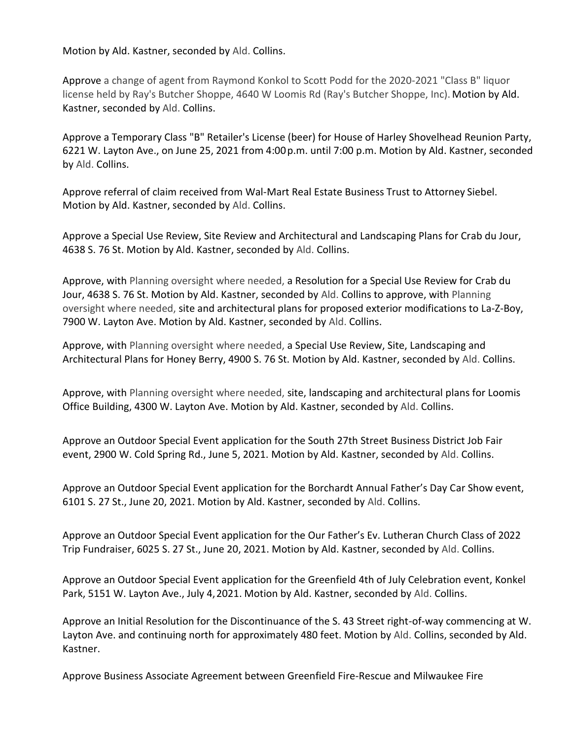Motion by Ald. Kastner, seconded by Ald. Collins.

Approve a change of agent from Raymond Konkol to Scott Podd for the 2020-2021 "Class B" liquor license held by Ray's Butcher Shoppe, 4640 W Loomis Rd (Ray's Butcher Shoppe, Inc). Motion by Ald. Kastner, seconded by Ald. Collins.

Approve a Temporary Class "B" Retailer's License (beer) for House of Harley Shovelhead Reunion Party, 6221 W. Layton Ave., on June 25, 2021 from 4:00p.m. until 7:00 p.m. Motion by Ald. Kastner, seconded by Ald. Collins.

Approve referral of claim received from Wal-Mart Real Estate Business Trust to Attorney Siebel. Motion by Ald. Kastner, seconded by Ald. Collins.

Approve a Special Use Review, Site Review and Architectural and Landscaping Plans for Crab du Jour, 4638 S. 76 St. Motion by Ald. Kastner, seconded by Ald. Collins.

Approve, with Planning oversight where needed, a Resolution for a Special Use Review for Crab du Jour, 4638 S. 76 St. Motion by Ald. Kastner, seconded by Ald. Collins to approve, with Planning oversight where needed, site and architectural plans for proposed exterior modifications to La-Z-Boy, 7900 W. Layton Ave. Motion by Ald. Kastner, seconded by Ald. Collins.

Approve, with Planning oversight where needed, a Special Use Review, Site, Landscaping and Architectural Plans for Honey Berry, 4900 S. 76 St. Motion by Ald. Kastner, seconded by Ald. Collins.

Approve, with Planning oversight where needed, site, landscaping and architectural plans for Loomis Office Building, 4300 W. Layton Ave. Motion by Ald. Kastner, seconded by Ald. Collins.

Approve an Outdoor Special Event application for the South 27th Street Business District Job Fair event, 2900 W. Cold Spring Rd., June 5, 2021. Motion by Ald. Kastner, seconded by Ald. Collins.

Approve an Outdoor Special Event application for the Borchardt Annual Father's Day Car Show event, 6101 S. 27 St., June 20, 2021. Motion by Ald. Kastner, seconded by Ald. Collins.

Approve an Outdoor Special Event application for the Our Father's Ev. Lutheran Church Class of 2022 Trip Fundraiser, 6025 S. 27 St., June 20, 2021. Motion by Ald. Kastner, seconded by Ald. Collins.

Approve an Outdoor Special Event application for the Greenfield 4th of July Celebration event, Konkel Park, 5151 W. Layton Ave., July 4,2021. Motion by Ald. Kastner, seconded by Ald. Collins.

Approve an Initial Resolution for the Discontinuance of the S. 43 Street right-of-way commencing at W. Layton Ave. and continuing north for approximately 480 feet. Motion by Ald. Collins, seconded by Ald. Kastner.

Approve Business Associate Agreement between Greenfield Fire-Rescue and Milwaukee Fire